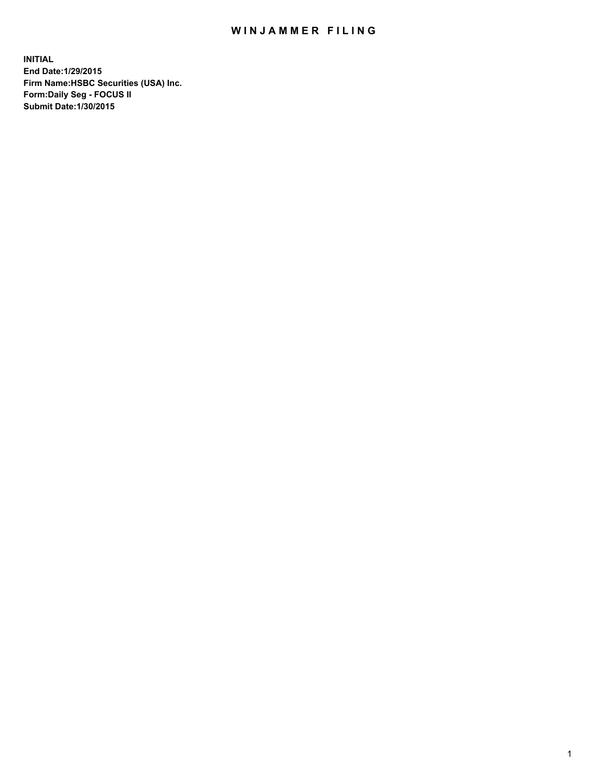## WIN JAMMER FILING

**INITIAL End Date:1/29/2015 Firm Name:HSBC Securities (USA) Inc. Form:Daily Seg - FOCUS II Submit Date:1/30/2015**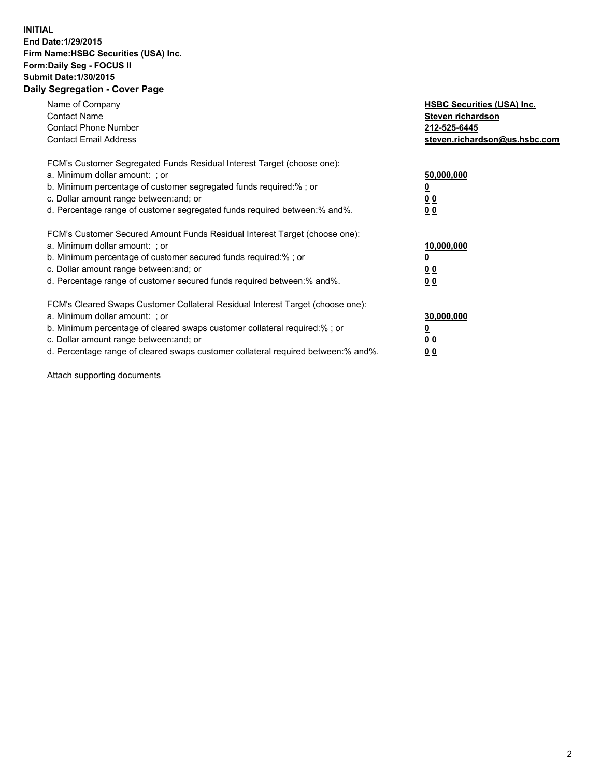## **INITIAL End Date:1/29/2015 Firm Name:HSBC Securities (USA) Inc. Form:Daily Seg - FOCUS II Submit Date:1/30/2015 Daily Segregation - Cover Page**

| Name of Company<br><b>Contact Name</b><br><b>Contact Phone Number</b><br><b>Contact Email Address</b>                                                                                                                                                                                                                         | <b>HSBC Securities (USA) Inc.</b><br>Steven richardson<br>212-525-6445<br>steven.richardson@us.hsbc.com |
|-------------------------------------------------------------------------------------------------------------------------------------------------------------------------------------------------------------------------------------------------------------------------------------------------------------------------------|---------------------------------------------------------------------------------------------------------|
| FCM's Customer Segregated Funds Residual Interest Target (choose one):<br>a. Minimum dollar amount: ; or<br>b. Minimum percentage of customer segregated funds required:%; or<br>c. Dollar amount range between: and; or<br>d. Percentage range of customer segregated funds required between:% and%.                         | 50,000,000<br>00<br>0 <sub>0</sub>                                                                      |
| FCM's Customer Secured Amount Funds Residual Interest Target (choose one):<br>a. Minimum dollar amount: ; or<br>b. Minimum percentage of customer secured funds required:%; or<br>c. Dollar amount range between: and; or<br>d. Percentage range of customer secured funds required between:% and%.                           | 10,000,000<br>0 <sub>0</sub><br>00                                                                      |
| FCM's Cleared Swaps Customer Collateral Residual Interest Target (choose one):<br>a. Minimum dollar amount: ; or<br>b. Minimum percentage of cleared swaps customer collateral required:%; or<br>c. Dollar amount range between: and; or<br>d. Percentage range of cleared swaps customer collateral required between:% and%. | 30,000,000<br><u>00</u><br><u>00</u>                                                                    |

Attach supporting documents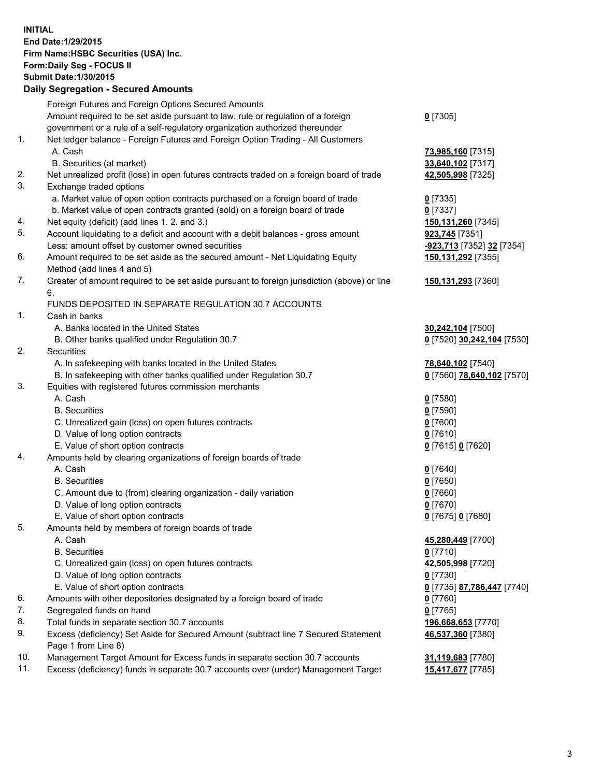**INITIAL End Date:1/29/2015 Firm Name:HSBC Securities (USA) Inc. Form:Daily Seg - FOCUS II Submit Date:1/30/2015 Daily Segregation - Secured Amounts** Foreign Futures and Foreign Options Secured Amounts Amount required to be set aside pursuant to law, rule or regulation of a foreign government or a rule of a self-regulatory organization authorized thereunder 1. Net ledger balance - Foreign Futures and Foreign Option Trading - All Customers A. Cash **73,985,160** [7315] B. Securities (at market) **33,640,102** [7317] 2. Net unrealized profit (loss) in open futures contracts traded on a foreign board of trade **42,505,998** [7325] 3. Exchange traded options a. Market value of open option contracts purchased on a foreign board of trade **0** [7335] b. Market value of open contracts granted (sold) on a foreign board of trade **0** [7337] 4. Net equity (deficit) (add lines 1. 2. and 3.) **150,131,260** [7345] 5. Account liquidating to a deficit and account with a debit balances - gross amount **923,745** [7351] Less: amount offset by customer owned securities **-923,713** [7352] **32** [7354] 6. Amount required to be set aside as the secured amount - Net Liquidating Equity Method (add lines 4 and 5) 7. Greater of amount required to be set aside pursuant to foreign jurisdiction (above) or line 6. FUNDS DEPOSITED IN SEPARATE REGULATION 30.7 ACCOUNTS 1. Cash in banks A. Banks located in the United States **30,242,104** [7500] B. Other banks qualified under Regulation 30.7 **0** [7520] **30,242,104** [7530] 2. Securities A. In safekeeping with banks located in the United States **78,640,102** [7540] B. In safekeeping with other banks qualified under Regulation 30.7 **0** [7560] **78,640,102** [7570] 3. Equities with registered futures commission merchants A. Cash **0** [7580] B. Securities **0** [7590] C. Unrealized gain (loss) on open futures contracts **0** [7600] D. Value of long option contracts **0** [7610]

4. Amounts held by clearing organizations of foreign boards of trade

 E. Value of short option contracts **0** [7615] **0** [7620] A. Cash **0** [7640] B. Securities **0** [7650] C. Amount due to (from) clearing organization - daily variation **0** [7660] D. Value of long option contracts **0** [7670] E. Value of short option contracts **0** [7675] **0** [7680] 5. Amounts held by members of foreign boards of trade A. Cash **45,280,449** [7700] B. Securities **0** [7710] C. Unrealized gain (loss) on open futures contracts **42,505,998** [7720] D. Value of long option contracts **0** [7730] E. Value of short option contracts **0** [7735] **87,786,447** [7740] 6. Amounts with other depositories designated by a foreign board of trade **0** [7760] 7. Segregated funds on hand **0** [7765] 8. Total funds in separate section 30.7 accounts **196,668,653** [7770] 9. Excess (deficiency) Set Aside for Secured Amount (subtract line 7 Secured Statement Page 1 from Line 8) **46,537,360** [7380] 10. Management Target Amount for Excess funds in separate section 30.7 accounts **31,119,683** [7780]

11. Excess (deficiency) funds in separate 30.7 accounts over (under) Management Target **15,417,677** [7785]

**0** [7305]

**150,131,292** [7355]

**150,131,293** [7360]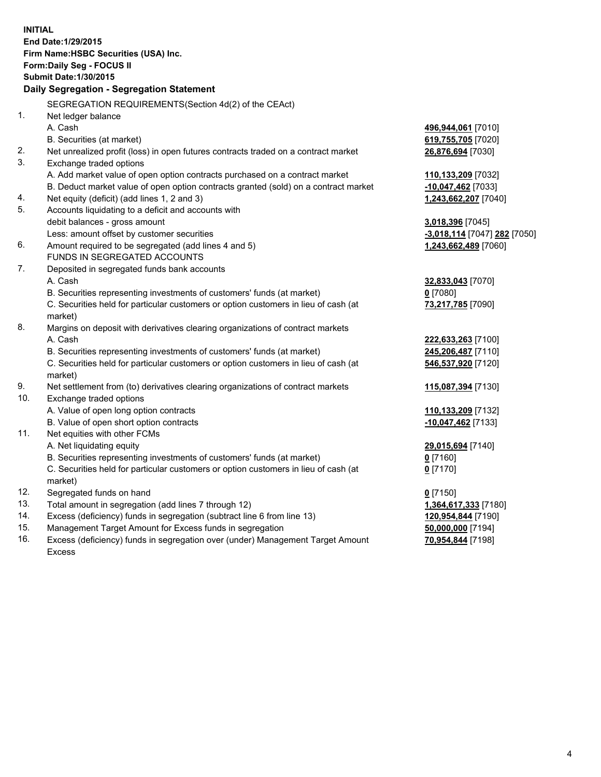| <b>INITIAL</b> | End Date: 1/29/2015<br>Firm Name: HSBC Securities (USA) Inc.<br>Form: Daily Seg - FOCUS II<br><b>Submit Date: 1/30/2015</b><br><b>Daily Segregation - Segregation Statement</b> |                              |
|----------------|---------------------------------------------------------------------------------------------------------------------------------------------------------------------------------|------------------------------|
|                |                                                                                                                                                                                 |                              |
|                | SEGREGATION REQUIREMENTS(Section 4d(2) of the CEAct)                                                                                                                            |                              |
| 1.             | Net ledger balance                                                                                                                                                              |                              |
|                | A. Cash                                                                                                                                                                         | 496,944,061 [7010]           |
|                | B. Securities (at market)                                                                                                                                                       | 619,755,705 [7020]           |
| 2.<br>3.       | Net unrealized profit (loss) in open futures contracts traded on a contract market<br>Exchange traded options                                                                   | 26,876,694 [7030]            |
|                | A. Add market value of open option contracts purchased on a contract market                                                                                                     | 110,133,209 [7032]           |
|                | B. Deduct market value of open option contracts granted (sold) on a contract market                                                                                             | $-10,047,462$ [7033]         |
| 4.             | Net equity (deficit) (add lines 1, 2 and 3)                                                                                                                                     | 1,243,662,207 [7040]         |
| 5.             | Accounts liquidating to a deficit and accounts with                                                                                                                             |                              |
|                | debit balances - gross amount                                                                                                                                                   | 3,018,396 [7045]             |
|                | Less: amount offset by customer securities                                                                                                                                      | -3,018,114 [7047] 282 [7050] |
| 6.             | Amount required to be segregated (add lines 4 and 5)                                                                                                                            | 1,243,662,489 [7060]         |
|                | FUNDS IN SEGREGATED ACCOUNTS                                                                                                                                                    |                              |
| 7.             | Deposited in segregated funds bank accounts                                                                                                                                     |                              |
|                | A. Cash                                                                                                                                                                         | 32,833,043 [7070]            |
|                | B. Securities representing investments of customers' funds (at market)                                                                                                          | $0$ [7080]                   |
|                | C. Securities held for particular customers or option customers in lieu of cash (at                                                                                             | 73,217,785 [7090]            |
|                | market)                                                                                                                                                                         |                              |
| 8.             | Margins on deposit with derivatives clearing organizations of contract markets                                                                                                  |                              |
|                | A. Cash                                                                                                                                                                         | 222,633,263 [7100]           |
|                | B. Securities representing investments of customers' funds (at market)                                                                                                          | 245,206,487 [7110]           |
|                | C. Securities held for particular customers or option customers in lieu of cash (at<br>market)                                                                                  | 546,537,920 [7120]           |
| 9.             | Net settlement from (to) derivatives clearing organizations of contract markets                                                                                                 | 115,087,394 [7130]           |
| 10.            | Exchange traded options                                                                                                                                                         |                              |
|                | A. Value of open long option contracts                                                                                                                                          | 110,133,209 [7132]           |
|                | B. Value of open short option contracts                                                                                                                                         | -10,047,462 [7133]           |
| 11.            | Net equities with other FCMs                                                                                                                                                    |                              |
|                | A. Net liquidating equity                                                                                                                                                       | 29,015,694 [7140]            |
|                | B. Securities representing investments of customers' funds (at market)                                                                                                          | $0$ [7160]                   |
|                | C. Securities held for particular customers or option customers in lieu of cash (at<br>market)                                                                                  | $0$ [7170]                   |
| 12.            | Segregated funds on hand                                                                                                                                                        | $0$ [7150]                   |
| 13.            | Total amount in segregation (add lines 7 through 12)                                                                                                                            | 1,364,617,333 [7180]         |
| 14.            | Excess (deficiency) funds in segregation (subtract line 6 from line 13)                                                                                                         | 120,954,844 [7190]           |
| 15.            | Management Target Amount for Excess funds in segregation                                                                                                                        | 50,000,000 [7194]            |
| 16.            | Excess (deficiency) funds in segregation over (under) Management Target Amount                                                                                                  | 70,954,844 [7198]            |

Excess